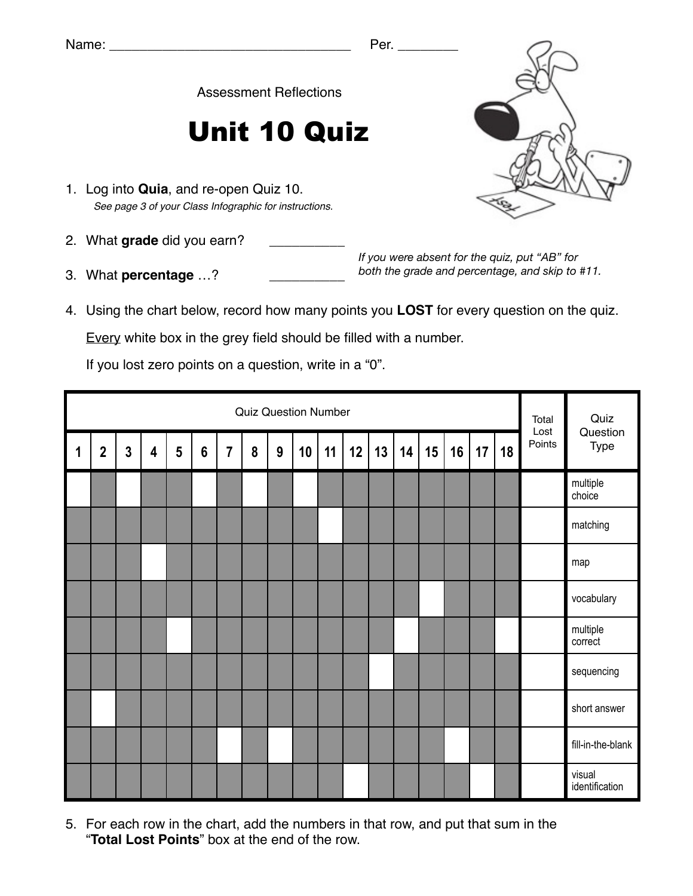Assessment Reflections

## Unit 10 Quiz

- 1. Log into **Quia**, and re-open Quiz 10. *See page 3 of your Class Infographic for instructions.*
- 2. What grade did you earn?
- 3. What **percentage** ...?

*If you were absent for the quiz, put "AB" for both the grade and percentage, and skip to #11.*

4. Using the chart below, record how many points you **LOST** for every question on the quiz.

Every white box in the grey field should be filled with a number.

If you lost zero points on a question, write in a "0".

|             | <b>Quiz Question Number</b> |                |                         |                |                 |                |   |                  |    |    |    |    |    |    |    | Total<br>Lost | Quiz<br>Question |        |                          |
|-------------|-----------------------------|----------------|-------------------------|----------------|-----------------|----------------|---|------------------|----|----|----|----|----|----|----|---------------|------------------|--------|--------------------------|
| $\mathbf 1$ | $\overline{2}$              | $\overline{3}$ | $\overline{\mathbf{4}}$ | $5\phantom{a}$ | $6\phantom{1}6$ | $\overline{7}$ | 8 | $\boldsymbol{9}$ | 10 | 11 | 12 | 13 | 14 | 15 | 16 | 17            | 18               | Points | Type                     |
|             |                             |                |                         |                |                 |                |   |                  |    |    |    |    |    |    |    |               |                  |        | multiple<br>choice       |
|             |                             |                |                         |                |                 |                |   |                  |    |    |    |    |    |    |    |               |                  |        | matching                 |
|             |                             |                |                         |                |                 |                |   |                  |    |    |    |    |    |    |    |               |                  |        | map                      |
|             |                             |                |                         |                |                 |                |   |                  |    |    |    |    |    |    |    |               |                  |        | vocabulary               |
|             |                             |                |                         |                |                 |                |   |                  |    |    |    |    |    |    |    |               |                  |        | multiple<br>correct      |
|             |                             |                |                         |                |                 |                |   |                  |    |    |    |    |    |    |    |               |                  |        | sequencing               |
|             |                             |                |                         |                |                 |                |   |                  |    |    |    |    |    |    |    |               |                  |        | short answer             |
|             |                             |                |                         |                |                 |                |   |                  |    |    |    |    |    |    |    |               |                  |        | fill-in-the-blank        |
|             |                             |                |                         |                |                 |                |   |                  |    |    |    |    |    |    |    |               |                  |        | visual<br>identification |

5. For each row in the chart, add the numbers in that row, and put that sum in the "**Total Lost Points**" box at the end of the row.